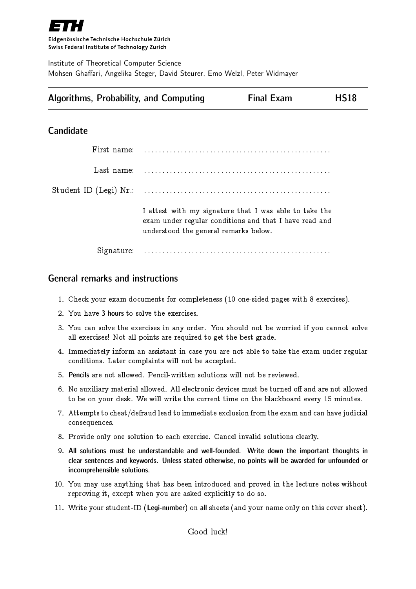

Eidgenössische Technische Hochschule Zürich Swiss Federal Institute of Technology Zurich

Institute of Theoretical Computer Science Mohsen Ghaffari, Angelika Steger, David Steurer, Emo Welzl, Peter Widmayer

|  |  | <b>Algorithms, Probability, and Computing</b> | <b>Final Exam</b> | <b>HS18</b> |
|--|--|-----------------------------------------------|-------------------|-------------|
|--|--|-----------------------------------------------|-------------------|-------------|

### **Candidate**

| First name: |                                                                                                                                                           |
|-------------|-----------------------------------------------------------------------------------------------------------------------------------------------------------|
| Last name:  |                                                                                                                                                           |
|             |                                                                                                                                                           |
|             | I attest with my signature that I was able to take the<br>exam under regular conditions and that I have read and<br>understood the general remarks below. |
|             |                                                                                                                                                           |

### General remarks and instructions

- 1. Check your exam documents for completeness (10 one-sided pages with 8 exercises).
- 2. You have 3 hours to solve the exercises.
- 3. You can solve the exercises in any order. You should not be worried if you cannot solve all exercises! Not all points are required to get the best grade.
- 4. Immediately inform an assistant in case you are not able to take the exam under regular conditions. Later complaints will not be accepted.
- 5. Pencils are not allowed. Pencil-written solutions will not be reviewed.
- 6. No auxiliary material allowed. All electronic devices must be turned off and are not allowed to be on your desk. We will write the current time on the blackboard every 15 minutes.
- 7. Attempts to cheat/defraud lead to immediate exclusion from the exam and can have judicial consequences.
- 8. Provide only one solution to each exercise. Cancel invalid solutions clearly.
- 9. All solutions must be understandable and well-founded. Write down the important thoughts in clear sentences and keywords. Unless stated otherwise, no points will be awarded for unfounded or incomprehensible solutions.
- 10. You may use anything that has been introduced and proved in the lecture notes without reproving it, except when you are asked explicitly to do so.
- 11. Write your student-ID (Legi-number) on all sheets (and your name only on this cover sheet).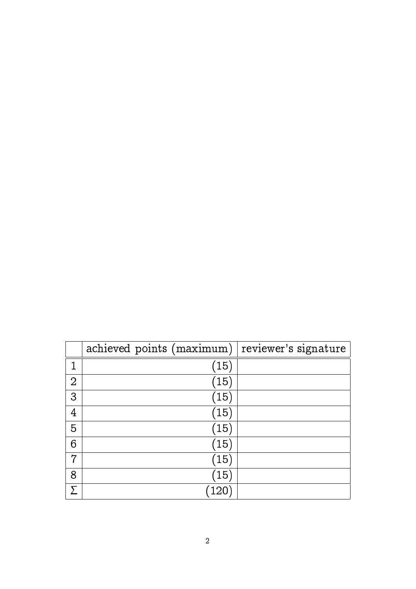|                | achieved points (maximum) | reviewer's signature |
|----------------|---------------------------|----------------------|
| 1              | (15)                      |                      |
| $\overline{2}$ | (15)                      |                      |
| 3              | (15)                      |                      |
| 4              | (15)                      |                      |
| 5              | (15)                      |                      |
| 6              | (15)                      |                      |
| 7              | (15)                      |                      |
| 8              | (15)                      |                      |
|                | 12 <sub>0</sub>           |                      |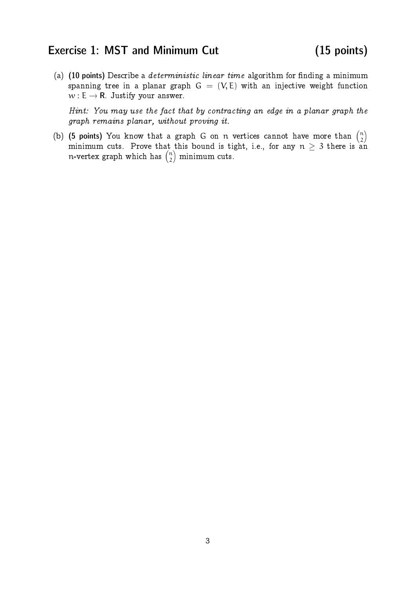## Exercise 1: MST and Minimum Cut (15 points)

(a)  $(10 \text{ points})$  Describe a *deterministic linear time* algorithm for finding a minimum spanning tree in a planar graph  $G = (V, E)$  with an injective weight function  $w : E \to \mathbf{R}$ . Justify your answer.

Hint: You may use the fact that by contracting an edge in a planar graph the graph remains planar, without proving it.

(b) (5 points) You know that a graph G on n vertices cannot have more than  $\binom{n}{2}$  $\binom{n}{2}$ minimum cuts. Prove that this bound is tight, i.e., for any  $n \geq 3$  there is an n-vertex graph which has  $\binom{n}{2}$  $\binom{n}{2}$  minimum cuts.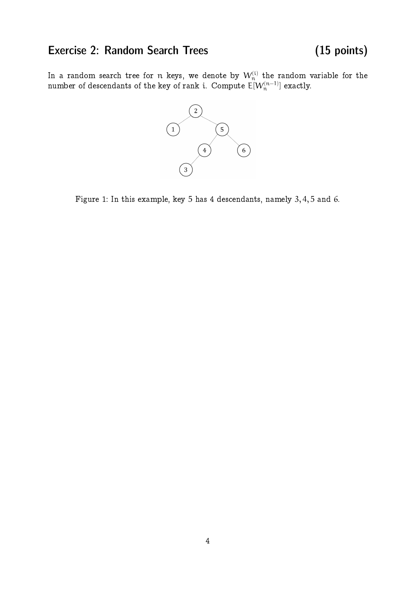# Exercise 2: Random Search Trees (15 points)

In a random search tree for  $\mathfrak n$  keys, we denote by  $\mathcal W^{(\mathfrak i)}_{\mathfrak n}$  the random variable for the number of descendants of the key of rank i. Compute  $\mathsf{E}[W_\mathfrak{n}^{(\mathfrak{n}-1)}]$  exactly.



Figure 1: In this example, key 5 has 4 descendants, namely 3, 4, 5 and 6.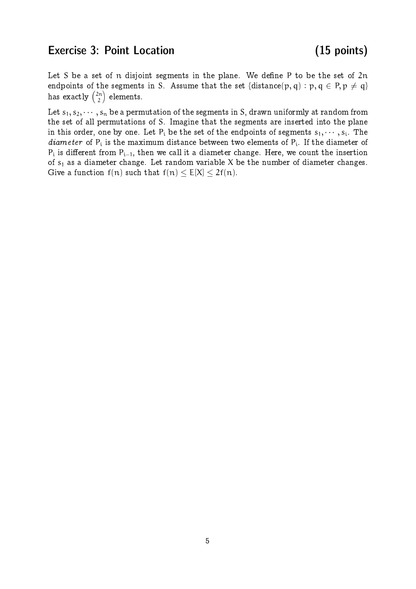## Exercise 3: Point Location (15 points)

Let S be a set of  $n$  disjoint segments in the plane. We define P to be the set of  $2n$ endpoints of the segments in S. Assume that the set {distance(p, q) : p, q  $\in$  P, p  $\neq$  q} has exactly  $\binom{2\mathfrak{n}}{2}$  $\binom{2n}{2}$  elements.

Let  $s_1, s_2, \dots, s_n$  be a permutation of the segments in S, drawn uniformly at random from the set of all permutations of S. Imagine that the segments are inserted into the plane in this order, one by one. Let  $P_i$  be the set of the endpoints of segments  $s_1, \dots, s_i$ . The *diameter* of  $P_i$  is the maximum distance between two elements of  $P_i$ . If the diameter of  $\rm P_{i}$  is different from  $\rm P_{i-1},$  then we call it a diameter change. Here, we count the insertion of  $s_1$  as a diameter change. Let random variable X be the number of diameter changes. Give a function  $f(n)$  such that  $f(n) \le E[X] \le 2f(n)$ .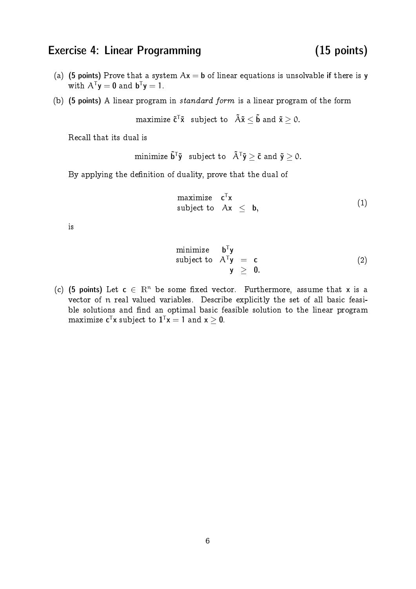### Exercise 4: Linear Programming (15 points)

- (a) (5 points) Prove that a system  $Ax = b$  of linear equations is unsolvable if there is y with  $A^{T}y = 0$  and  $b^{T}y = 1$ .
- (b) (5 points) A linear program in standard form is a linear program of the form

maximize  $\tilde{\mathbf{c}}^{\mathsf{T}}\tilde{\mathbf{x}}$  subject to  $\tilde{\mathbf{A}}\tilde{\mathbf{x}} \leq \tilde{\mathbf{b}}$  and  $\tilde{\mathbf{x}} \geq 0$ .

Recall that its dual is

minimize  $\tilde{\mathbf{b}}^{\mathsf{T}}\tilde{\mathbf{y}}$  subject to  $\tilde{\mathsf{A}}^{\mathsf{T}}\tilde{\mathbf{y}} \geq \tilde{\mathsf{c}}$  and  $\tilde{\mathbf{y}} \geq 0$ .

By applying the definition of duality, prove that the dual of

maximize  $\boldsymbol{\mathsf{c}}^\intercal \boldsymbol{\mathsf{x}}$ subject to  $Ax < b$ , (1)

is

minimize 
$$
\mathbf{b}^T \mathbf{y}
$$
  
subject to  $A^T \mathbf{y} = \mathbf{c}$   
 $\mathbf{y} \geq \mathbf{0}.$  (2)

(c) (5 points) Let  $c \in \mathbb{R}^n$  be some fixed vector. Furthermore, assume that x is a vector of n real valued variables. Describe explicitly the set of all basic feasible solutions and find an optimal basic feasible solution to the linear program maximize  $c^{\mathsf{T}}x$  subject to  $\mathbf{1}^{\mathsf{T}}x = 1$  and  $x \ge 0$ .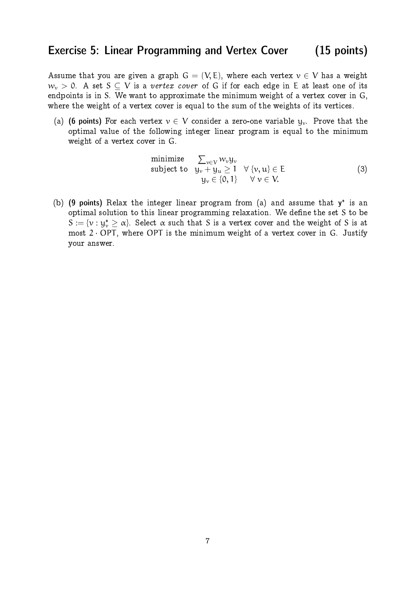### Exercise 5: Linear Programming and Vertex Cover (15 points)

Assume that you are given a graph  $G = (V, E)$ , where each vertex  $v \in V$  has a weight  $w_v > 0$ . A set  $S \subseteq V$  is a vertex cover of G if for each edge in E at least one of its endpoints is in S. We want to approximate the minimum weight of a vertex cover in G, where the weight of a vertex cover is equal to the sum of the weights of its vertices.

(a) (6 points) For each vertex  $v \in V$  consider a zero-one variable  $y_v$ . Prove that the optimal value of the following integer linear program is equal to the minimum weight of a vertex cover in G.

minimize 
$$
\sum_{v \in V} w_v y_v
$$
  
\nsubject to  $y_v + y_u \ge 1 \quad \forall \{v, u\} \in E$   
\n $y_v \in \{0, 1\} \quad \forall v \in V.$  (3)

(b) (9 points) Relax the integer linear program from (a) and assume that  $y^*$  is an optimal solution to this linear programming relaxation. We define the set  $S$  to be  $S := \{v : y_v^* \geq \alpha\}$ . Select  $\alpha$  such that S is a vertex cover and the weight of S is at most  $2 \cdot OPT$ , where OPT is the minimum weight of a vertex cover in G. Justify your answer.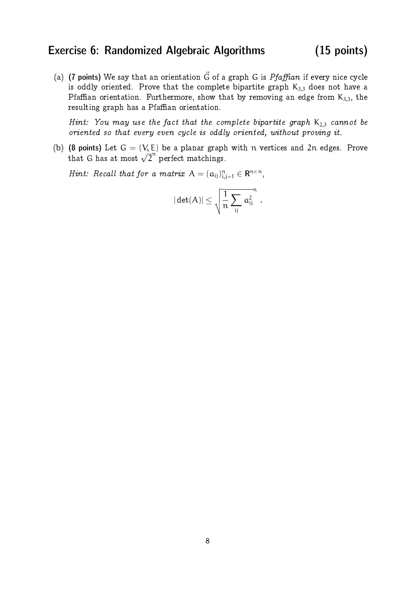### Exercise 6: Randomized Algebraic Algorithms (15 points)

(a) (7 points) We say that an orientation  $\vec{G}$  of a graph G is Pfaffian if every nice cycle is oddly oriented. Prove that the complete bipartite graph  $K_{3,3}$  does not have a Pfaffian orientation. Furthermore, show that by removing an edge from  $K_{3,3}$ , the resulting graph has a Pfaffian orientation.

Hint: You may use the fact that the complete bipartite graph  $K_{2,3}$  cannot be oriented so that every even cycle is oddly oriented, without proving it.

(b) (8 points) Let  $G = (V, E)$  be a planar graph with n vertices and 2n edges. Prove that G has at most  $\sqrt{2}^n$  perfect matchings.

Hint: Recall that for a matrix  $A = (a_{ij})_{i,j=1}^n \in \mathbb{R}^{n \times n}$ ,

$$
|\det(A)|\leq \sqrt{\frac{1}{n}\sum_{ij}a_{ij}^2} \enspace .
$$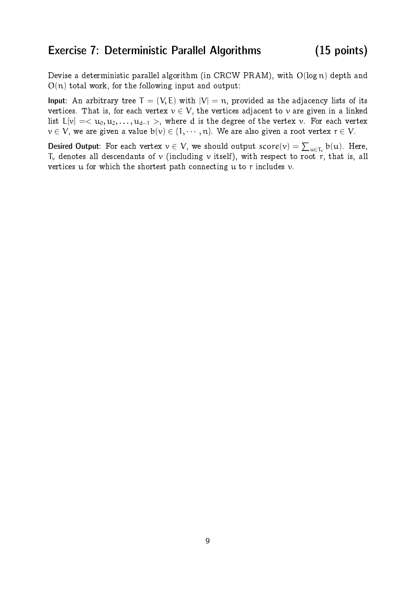### Exercise 7: Deterministic Parallel Algorithms (15 points)

Devise a deterministic parallel algorithm (in CRCW PRAM), with O(log n) depth and  $O(n)$  total work, for the following input and output:

Input: An arbitrary tree  $T = (V, E)$  with  $|V| = n$ , provided as the adjacency lists of its vertices. That is, for each vertex  $v \in V$ , the vertices adjacent to v are given in a linked list L[v] =  $\langle u_0, u_1, \ldots, u_{d-1} \rangle$ , where d is the degree of the vertex v. For each vertex  $v \in V$ , we are given a value  $b(v) \in \{1, \dots, n\}$ . We are also given a root vertex  $r \in V$ .

Desired Output: For each vertex  $v \in V$ , we should output  $score(v) = \sum_{u \in T_v} b(u)$ . Here,  $\mathsf{T}_\mathsf{v}$  denotes all descendants of  $\mathsf{v}$  (including  $\mathsf{v}$  itself), with respect to root  $\mathsf{r},$  that is, all vertices  $u$  for which the shortest path connecting  $u$  to r includes  $v$ .